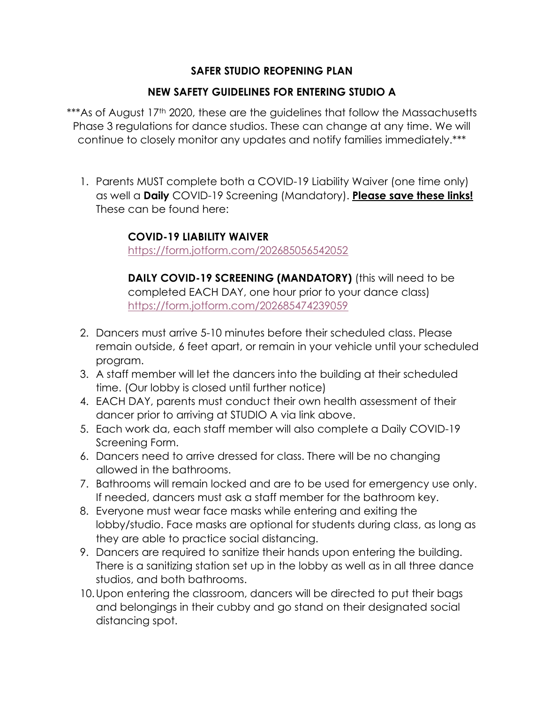## **SAFER STUDIO REOPENING PLAN**

## **NEW SAFETY GUIDELINES FOR ENTERING STUDIO A**

\*\*\*As of August 17<sup>th</sup> 2020, these are the guidelines that follow the Massachusetts Phase 3 regulations for dance studios. These can change at any time. We will continue to closely monitor any updates and notify families immediately.\*\*\*

1. Parents MUST complete both a COVID-19 Liability Waiver (one time only) as well a **Daily** COVID-19 Screening (Mandatory). **Please save these links!** These can be found here:

## **COVID-19 LIABILITY WAIVER**

<https://form.jotform.com/202685056542052>

**DAILY COVID-19 SCREENING (MANDATORY)** (this will need to be completed EACH DAY, one hour prior to your dance class) <https://form.jotform.com/202685474239059>

- 2. Dancers must arrive 5-10 minutes before their scheduled class. Please remain outside, 6 feet apart, or remain in your vehicle until your scheduled program.
- 3. A staff member will let the dancers into the building at their scheduled time. (Our lobby is closed until further notice)
- 4. EACH DAY, parents must conduct their own health assessment of their dancer prior to arriving at STUDIO A via link above.
- 5. Each work da, each staff member will also complete a Daily COVID-19 Screening Form.
- 6. Dancers need to arrive dressed for class. There will be no changing allowed in the bathrooms.
- 7. Bathrooms will remain locked and are to be used for emergency use only. If needed, dancers must ask a staff member for the bathroom key.
- 8. Everyone must wear face masks while entering and exiting the lobby/studio. Face masks are optional for students during class, as long as they are able to practice social distancing.
- 9. Dancers are required to sanitize their hands upon entering the building. There is a sanitizing station set up in the lobby as well as in all three dance studios, and both bathrooms.
- 10.Upon entering the classroom, dancers will be directed to put their bags and belongings in their cubby and go stand on their designated social distancing spot.